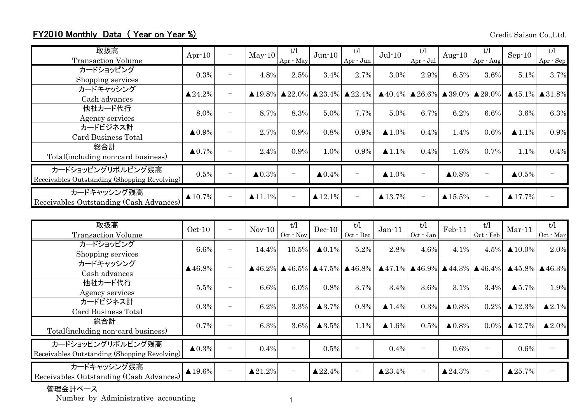## FY2010 Monthly Data (Year on Year %)

Credit Saison Co.,Ltd.

| 取扱高<br><b>Transaction Volume</b>                                  | Apr $-10$               | $\overline{\phantom{m}}$ | $May-10$               | t/l<br>Apr - May     | $Jun-10$               | t/l<br>Apr - Jun                                                        | $Jul-10$               | t/l<br>Apr - Jul         | Aug- $10$              | t/l<br>Apr - Aug                                                        | $Sep-10$               | t/l<br>Apr - Sep                    |
|-------------------------------------------------------------------|-------------------------|--------------------------|------------------------|----------------------|------------------------|-------------------------------------------------------------------------|------------------------|--------------------------|------------------------|-------------------------------------------------------------------------|------------------------|-------------------------------------|
| カードショッピング<br>Shopping services                                    | 0.3%                    | $\overline{\phantom{m}}$ | 4.8%                   | 2.5%                 | 3.4%                   | 2.7%                                                                    | 3.0%                   | 2.9%                     | 6.5%                   | 3.6%                                                                    | 5.1%                   | 3.7%                                |
| カードキャッシング<br>Cash advances                                        | $\blacktriangle 24.2\%$ | $\overline{\phantom{m}}$ |                        |                      |                        | $\triangle$ 19.8% $\triangle$ 22.0% $\triangle$ 23.4% $\triangle$ 22.4% |                        |                          |                        | $\triangle$ 40.4% $\triangle$ 26.6% $\triangle$ 39.0% $\triangle$ 29.0% |                        | $\triangle$ 45.1% $\triangle$ 31.8% |
| 他社カード代行<br>Agency services                                        | 8.0%                    | $\overline{\phantom{m}}$ | 8.7%                   | 8.3%                 | 5.0%                   | 7.7%                                                                    | 5.0%                   | 6.7%                     | 6.2%                   | 6.6%                                                                    | 3.6%                   | 6.3%                                |
| カードビジネス計<br>Card Business Total                                   | $\blacktriangle 0.9\%$  | $\overline{\phantom{m}}$ | 2.7%                   | 0.9%                 | 0.8%                   | 0.9%                                                                    | $\blacktriangle$ 1.0%  | 0.4%                     | 1.4%                   | 0.6%                                                                    | $\blacktriangle$ 1.1%  | 0.9%                                |
| 総合計<br>Total(including non-card business)                         | $\triangle 0.7\%$       | $\qquad \qquad -$        | 2.4%                   | 0.9%                 | 1.0%                   | 0.9%                                                                    | $\blacktriangle$ 1.1%  | 0.4%                     | 1.6%                   | 0.7%                                                                    | 1.1%                   | 0.4%                                |
| カードショッピングリボルビング残高<br>Receivables Outstanding (Shopping Revolving) | 0.5%                    |                          | $\blacktriangle 0.3\%$ | $\qquad \qquad -$    | $\blacktriangle 0.4\%$ |                                                                         | $\blacktriangle$ 1.0%  |                          | $\blacktriangle 0.8\%$ |                                                                         | $\blacktriangle 0.5\%$ |                                     |
| カードキャッシング残高<br>Receivables Outstanding (Cash Advances)            | $\blacktriangle$ 10.7%  |                          | $\blacktriangle$ 11.1% | $\qquad \qquad -$    | $\blacktriangle$ 12.1% |                                                                         | $\blacktriangle$ 13.7% | $\overline{\phantom{0}}$ | $\triangle 15.5\%$     | $\qquad \qquad -$                                                       | $\blacktriangle$ 17.7% |                                     |
| 取扱高<br>Transaction Volume                                         | $Oct-10$                | $\overline{\phantom{m}}$ | $Nov-10$               | t/l<br>$Oct$ - $Nov$ | $Dec-10$               | t/l<br>$Oct - Dec$                                                      | $Jan-11$               | t/l<br>$Oct$ $Jan$       | Feb-11                 | t/l<br>$Oct$ $ Feb$                                                     | $Mar-11$               | t/l<br>Oct - Mar                    |

| Receivables Outstanding (Shopping Revolving)                      | $0.5\%$                |                          | $\triangle 0.3\%$       |                   | $\triangle 0.4\%$       |                    | $\blacktriangle 1.0\%$                                                                                                                                                              |                          | $\triangle 0.8\%$       |                  | $\triangle 0.5\%$       |                                           |
|-------------------------------------------------------------------|------------------------|--------------------------|-------------------------|-------------------|-------------------------|--------------------|-------------------------------------------------------------------------------------------------------------------------------------------------------------------------------------|--------------------------|-------------------------|------------------|-------------------------|-------------------------------------------|
| カードキャッシング残高<br>Receivables Outstanding (Cash Advances)            | $\triangle 10.7\%$     |                          | $\triangle 11.1\%$      | $\qquad \qquad -$ | $\triangle 12.1\%$      |                    | $\triangle 13.7\%$                                                                                                                                                                  | $\overline{\phantom{m}}$ | $\triangle 15.5\%$      |                  | $\triangle 17.7\%$      |                                           |
|                                                                   |                        |                          |                         |                   |                         |                    |                                                                                                                                                                                     |                          |                         |                  |                         |                                           |
| 取扱高<br><b>Transaction Volume</b>                                  | $Oct-10$               | $\qquad \qquad -$        | $Nov-10$                | t/l<br>Oct - Nov  | $Dec-10$                | t/l<br>$Oct - Dec$ | $Jan-11$                                                                                                                                                                            | t/l<br>Oct - Jan         | Feb-11                  | t/l<br>Oct - Feb | $Mar-11$                | t/l<br>$\hbox{Oct}\, \cdot \, \hbox{Mar}$ |
| カードショッピング<br>Shopping services                                    | 6.6%                   | $\overline{\phantom{0}}$ | 14.4%                   | 10.5%             | $\blacktriangle 0.1\%$  | 5.2%               | 2.8%                                                                                                                                                                                | 4.6%                     | 4.1%                    | 4.5%             | $\blacktriangle$ 10.0%  | 2.0%                                      |
| カードキャッシング<br>Cash advances                                        | $\triangle$ 46.8%      | $\qquad \qquad -$        |                         |                   |                         |                    | $\triangle$ 46.2% $\triangle$ 46.5% $\triangle$ 47.5% $\triangle$ 46.8% $\triangle$ 47.1% $\triangle$ 46.9% $\triangle$ 44.3% $\triangle$ 46.4% $\triangle$ 45.8% $\triangle$ 46.3% |                          |                         |                  |                         |                                           |
| 他社カード代行<br>Agency services                                        | 5.5%                   | $\overline{\phantom{0}}$ | 6.6%                    | 6.0%              | 0.8%                    | 3.7%               | 3.4%                                                                                                                                                                                | 3.6%                     | 3.1%                    | 3.4%             | $\blacktriangle$ 5.7%   | 1.9%                                      |
| カードビジネス計<br>Card Business Total                                   | 0.3%                   | $\overline{\phantom{0}}$ | 6.2%                    | 3.3%              | $\blacktriangle$ 3.7%   | 0.8%               | $\blacktriangle$ 1.4%                                                                                                                                                               | 0.3%                     | $\blacktriangle 0.8\%$  | 0.2%             | $\blacktriangle$ 12.3%  | $\blacktriangle 2.1\%$                    |
| 総合計<br>Total(including non-card business)                         | 0.7%                   | $\qquad \qquad -$        | 6.3%                    | 3.6%              | $\blacktriangle$ 3.5%   | 1.1%               | $\blacktriangle$ 1.6%                                                                                                                                                               | 0.5%                     | $\triangle 0.8\%$       | $0.0\%$          | $\triangle 12.7\%$      | $\blacktriangle 2.0\%$                    |
| カードショッピングリボルビング残高<br>Receivables Outstanding (Shopping Revolving) | $\blacktriangle 0.3\%$ |                          | 0.4%                    |                   | 0.5%                    |                    | 0.4%                                                                                                                                                                                |                          | 0.6%                    | -                | 0.6%                    |                                           |
| カードキャッシング残高<br>Receivables Outstanding (Cash Advances)            | $\blacktriangle$ 19.6% |                          | $\blacktriangle 21.2\%$ |                   | $\blacktriangle 22.4\%$ |                    | $\triangle 23.4\%$                                                                                                                                                                  |                          | $\blacktriangle 24.3\%$ |                  | $\blacktriangle 25.7\%$ |                                           |

## 管理会計ベース

Number by Administrative accounting